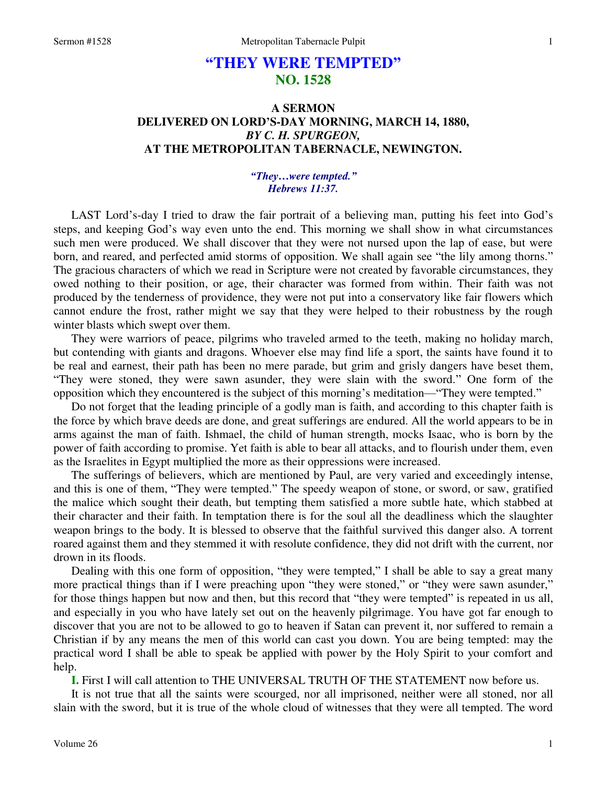# **"THEY WERE TEMPTED" NO. 1528**

# **A SERMON DELIVERED ON LORD'S-DAY MORNING, MARCH 14, 1880,**  *BY C. H. SPURGEON,*  **AT THE METROPOLITAN TABERNACLE, NEWINGTON.**

## *"They…were tempted." Hebrews 11:37.*

LAST Lord's-day I tried to draw the fair portrait of a believing man, putting his feet into God's steps, and keeping God's way even unto the end. This morning we shall show in what circumstances such men were produced. We shall discover that they were not nursed upon the lap of ease, but were born, and reared, and perfected amid storms of opposition. We shall again see "the lily among thorns." The gracious characters of which we read in Scripture were not created by favorable circumstances, they owed nothing to their position, or age, their character was formed from within. Their faith was not produced by the tenderness of providence, they were not put into a conservatory like fair flowers which cannot endure the frost, rather might we say that they were helped to their robustness by the rough winter blasts which swept over them.

 They were warriors of peace, pilgrims who traveled armed to the teeth, making no holiday march, but contending with giants and dragons. Whoever else may find life a sport, the saints have found it to be real and earnest, their path has been no mere parade, but grim and grisly dangers have beset them, "They were stoned, they were sawn asunder, they were slain with the sword." One form of the opposition which they encountered is the subject of this morning's meditation—"They were tempted."

 Do not forget that the leading principle of a godly man is faith, and according to this chapter faith is the force by which brave deeds are done, and great sufferings are endured. All the world appears to be in arms against the man of faith. Ishmael, the child of human strength, mocks Isaac, who is born by the power of faith according to promise. Yet faith is able to bear all attacks, and to flourish under them, even as the Israelites in Egypt multiplied the more as their oppressions were increased.

 The sufferings of believers, which are mentioned by Paul, are very varied and exceedingly intense, and this is one of them, "They were tempted." The speedy weapon of stone, or sword, or saw, gratified the malice which sought their death, but tempting them satisfied a more subtle hate, which stabbed at their character and their faith. In temptation there is for the soul all the deadliness which the slaughter weapon brings to the body. It is blessed to observe that the faithful survived this danger also. A torrent roared against them and they stemmed it with resolute confidence, they did not drift with the current, nor drown in its floods.

 Dealing with this one form of opposition, "they were tempted," I shall be able to say a great many more practical things than if I were preaching upon "they were stoned," or "they were sawn asunder," for those things happen but now and then, but this record that "they were tempted" is repeated in us all, and especially in you who have lately set out on the heavenly pilgrimage. You have got far enough to discover that you are not to be allowed to go to heaven if Satan can prevent it, nor suffered to remain a Christian if by any means the men of this world can cast you down. You are being tempted: may the practical word I shall be able to speak be applied with power by the Holy Spirit to your comfort and help.

**I.** First I will call attention to THE UNIVERSAL TRUTH OF THE STATEMENT now before us.

 It is not true that all the saints were scourged, nor all imprisoned, neither were all stoned, nor all slain with the sword, but it is true of the whole cloud of witnesses that they were all tempted. The word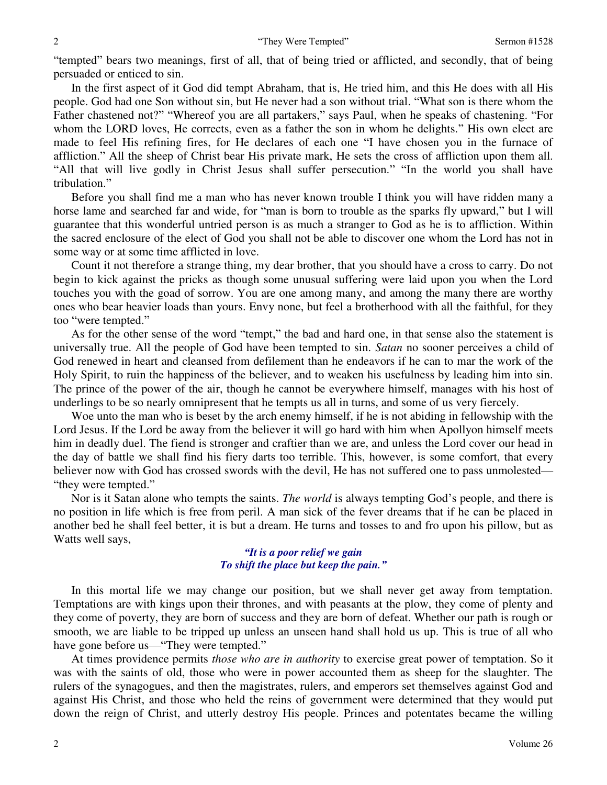"tempted" bears two meanings, first of all, that of being tried or afflicted, and secondly, that of being persuaded or enticed to sin.

 In the first aspect of it God did tempt Abraham, that is, He tried him, and this He does with all His people. God had one Son without sin, but He never had a son without trial. "What son is there whom the Father chastened not?" "Whereof you are all partakers," says Paul, when he speaks of chastening. "For whom the LORD loves, He corrects, even as a father the son in whom he delights." His own elect are made to feel His refining fires, for He declares of each one "I have chosen you in the furnace of affliction." All the sheep of Christ bear His private mark, He sets the cross of affliction upon them all. "All that will live godly in Christ Jesus shall suffer persecution." "In the world you shall have tribulation."

 Before you shall find me a man who has never known trouble I think you will have ridden many a horse lame and searched far and wide, for "man is born to trouble as the sparks fly upward," but I will guarantee that this wonderful untried person is as much a stranger to God as he is to affliction. Within the sacred enclosure of the elect of God you shall not be able to discover one whom the Lord has not in some way or at some time afflicted in love.

 Count it not therefore a strange thing, my dear brother, that you should have a cross to carry. Do not begin to kick against the pricks as though some unusual suffering were laid upon you when the Lord touches you with the goad of sorrow. You are one among many, and among the many there are worthy ones who bear heavier loads than yours. Envy none, but feel a brotherhood with all the faithful, for they too "were tempted."

 As for the other sense of the word "tempt," the bad and hard one, in that sense also the statement is universally true. All the people of God have been tempted to sin. *Satan* no sooner perceives a child of God renewed in heart and cleansed from defilement than he endeavors if he can to mar the work of the Holy Spirit, to ruin the happiness of the believer, and to weaken his usefulness by leading him into sin. The prince of the power of the air, though he cannot be everywhere himself, manages with his host of underlings to be so nearly omnipresent that he tempts us all in turns, and some of us very fiercely.

 Woe unto the man who is beset by the arch enemy himself, if he is not abiding in fellowship with the Lord Jesus. If the Lord be away from the believer it will go hard with him when Apollyon himself meets him in deadly duel. The fiend is stronger and craftier than we are, and unless the Lord cover our head in the day of battle we shall find his fiery darts too terrible. This, however, is some comfort, that every believer now with God has crossed swords with the devil, He has not suffered one to pass unmolested— "they were tempted."

 Nor is it Satan alone who tempts the saints. *The world* is always tempting God's people, and there is no position in life which is free from peril. A man sick of the fever dreams that if he can be placed in another bed he shall feel better, it is but a dream. He turns and tosses to and fro upon his pillow, but as Watts well says,

# *"It is a poor relief we gain To shift the place but keep the pain."*

 In this mortal life we may change our position, but we shall never get away from temptation. Temptations are with kings upon their thrones, and with peasants at the plow, they come of plenty and they come of poverty, they are born of success and they are born of defeat. Whether our path is rough or smooth, we are liable to be tripped up unless an unseen hand shall hold us up. This is true of all who have gone before us—"They were tempted."

 At times providence permits *those who are in authority* to exercise great power of temptation. So it was with the saints of old, those who were in power accounted them as sheep for the slaughter. The rulers of the synagogues, and then the magistrates, rulers, and emperors set themselves against God and against His Christ, and those who held the reins of government were determined that they would put down the reign of Christ, and utterly destroy His people. Princes and potentates became the willing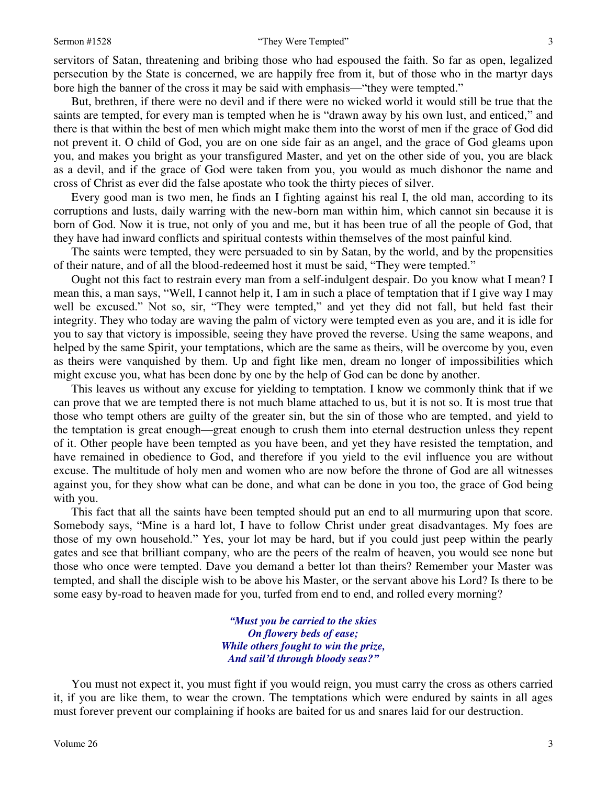#### Sermon #1528 **Sermon #1528** "They Were Tempted" 3

servitors of Satan, threatening and bribing those who had espoused the faith. So far as open, legalized persecution by the State is concerned, we are happily free from it, but of those who in the martyr days bore high the banner of the cross it may be said with emphasis—"they were tempted."

 But, brethren, if there were no devil and if there were no wicked world it would still be true that the saints are tempted, for every man is tempted when he is "drawn away by his own lust, and enticed," and there is that within the best of men which might make them into the worst of men if the grace of God did not prevent it. O child of God, you are on one side fair as an angel, and the grace of God gleams upon you, and makes you bright as your transfigured Master, and yet on the other side of you, you are black as a devil, and if the grace of God were taken from you, you would as much dishonor the name and cross of Christ as ever did the false apostate who took the thirty pieces of silver.

 Every good man is two men, he finds an I fighting against his real I, the old man, according to its corruptions and lusts, daily warring with the new-born man within him, which cannot sin because it is born of God. Now it is true, not only of you and me, but it has been true of all the people of God, that they have had inward conflicts and spiritual contests within themselves of the most painful kind.

 The saints were tempted, they were persuaded to sin by Satan, by the world, and by the propensities of their nature, and of all the blood-redeemed host it must be said, "They were tempted."

 Ought not this fact to restrain every man from a self-indulgent despair. Do you know what I mean? I mean this, a man says, "Well, I cannot help it, I am in such a place of temptation that if I give way I may well be excused." Not so, sir, "They were tempted," and yet they did not fall, but held fast their integrity. They who today are waving the palm of victory were tempted even as you are, and it is idle for you to say that victory is impossible, seeing they have proved the reverse. Using the same weapons, and helped by the same Spirit, your temptations, which are the same as theirs, will be overcome by you, even as theirs were vanquished by them. Up and fight like men, dream no longer of impossibilities which might excuse you, what has been done by one by the help of God can be done by another.

 This leaves us without any excuse for yielding to temptation. I know we commonly think that if we can prove that we are tempted there is not much blame attached to us, but it is not so. It is most true that those who tempt others are guilty of the greater sin, but the sin of those who are tempted, and yield to the temptation is great enough—great enough to crush them into eternal destruction unless they repent of it. Other people have been tempted as you have been, and yet they have resisted the temptation, and have remained in obedience to God, and therefore if you yield to the evil influence you are without excuse. The multitude of holy men and women who are now before the throne of God are all witnesses against you, for they show what can be done, and what can be done in you too, the grace of God being with you.

 This fact that all the saints have been tempted should put an end to all murmuring upon that score. Somebody says, "Mine is a hard lot, I have to follow Christ under great disadvantages. My foes are those of my own household." Yes, your lot may be hard, but if you could just peep within the pearly gates and see that brilliant company, who are the peers of the realm of heaven, you would see none but those who once were tempted. Dave you demand a better lot than theirs? Remember your Master was tempted, and shall the disciple wish to be above his Master, or the servant above his Lord? Is there to be some easy by-road to heaven made for you, turfed from end to end, and rolled every morning?

> *"Must you be carried to the skies On flowery beds of ease; While others fought to win the prize, And sail'd through bloody seas?"*

 You must not expect it, you must fight if you would reign, you must carry the cross as others carried it, if you are like them, to wear the crown. The temptations which were endured by saints in all ages must forever prevent our complaining if hooks are baited for us and snares laid for our destruction.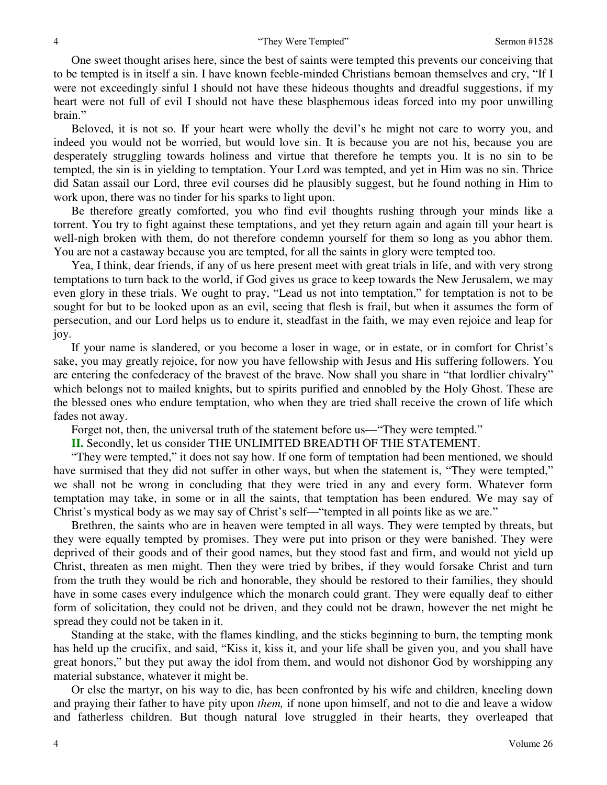One sweet thought arises here, since the best of saints were tempted this prevents our conceiving that to be tempted is in itself a sin. I have known feeble-minded Christians bemoan themselves and cry, "If I were not exceedingly sinful I should not have these hideous thoughts and dreadful suggestions, if my heart were not full of evil I should not have these blasphemous ideas forced into my poor unwilling brain."

 Beloved, it is not so. If your heart were wholly the devil's he might not care to worry you, and indeed you would not be worried, but would love sin. It is because you are not his, because you are desperately struggling towards holiness and virtue that therefore he tempts you. It is no sin to be tempted, the sin is in yielding to temptation. Your Lord was tempted, and yet in Him was no sin. Thrice did Satan assail our Lord, three evil courses did he plausibly suggest, but he found nothing in Him to work upon, there was no tinder for his sparks to light upon.

Be therefore greatly comforted, you who find evil thoughts rushing through your minds like a torrent. You try to fight against these temptations, and yet they return again and again till your heart is well-nigh broken with them, do not therefore condemn yourself for them so long as you abhor them. You are not a castaway because you are tempted, for all the saints in glory were tempted too.

 Yea, I think, dear friends, if any of us here present meet with great trials in life, and with very strong temptations to turn back to the world, if God gives us grace to keep towards the New Jerusalem, we may even glory in these trials. We ought to pray, "Lead us not into temptation," for temptation is not to be sought for but to be looked upon as an evil, seeing that flesh is frail, but when it assumes the form of persecution, and our Lord helps us to endure it, steadfast in the faith, we may even rejoice and leap for joy.

 If your name is slandered, or you become a loser in wage, or in estate, or in comfort for Christ's sake, you may greatly rejoice, for now you have fellowship with Jesus and His suffering followers. You are entering the confederacy of the bravest of the brave. Now shall you share in "that lordlier chivalry" which belongs not to mailed knights, but to spirits purified and ennobled by the Holy Ghost. These are the blessed ones who endure temptation, who when they are tried shall receive the crown of life which fades not away.

Forget not, then, the universal truth of the statement before us—"They were tempted."

**II.** Secondly, let us consider THE UNLIMITED BREADTH OF THE STATEMENT.

"They were tempted," it does not say how. If one form of temptation had been mentioned, we should have surmised that they did not suffer in other ways, but when the statement is, "They were tempted," we shall not be wrong in concluding that they were tried in any and every form. Whatever form temptation may take, in some or in all the saints, that temptation has been endured. We may say of Christ's mystical body as we may say of Christ's self—"tempted in all points like as we are."

 Brethren, the saints who are in heaven were tempted in all ways. They were tempted by threats, but they were equally tempted by promises. They were put into prison or they were banished. They were deprived of their goods and of their good names, but they stood fast and firm, and would not yield up Christ, threaten as men might. Then they were tried by bribes, if they would forsake Christ and turn from the truth they would be rich and honorable, they should be restored to their families, they should have in some cases every indulgence which the monarch could grant. They were equally deaf to either form of solicitation, they could not be driven, and they could not be drawn, however the net might be spread they could not be taken in it.

 Standing at the stake, with the flames kindling, and the sticks beginning to burn, the tempting monk has held up the crucifix, and said, "Kiss it, kiss it, and your life shall be given you, and you shall have great honors," but they put away the idol from them, and would not dishonor God by worshipping any material substance, whatever it might be.

 Or else the martyr, on his way to die, has been confronted by his wife and children, kneeling down and praying their father to have pity upon *them,* if none upon himself, and not to die and leave a widow and fatherless children. But though natural love struggled in their hearts, they overleaped that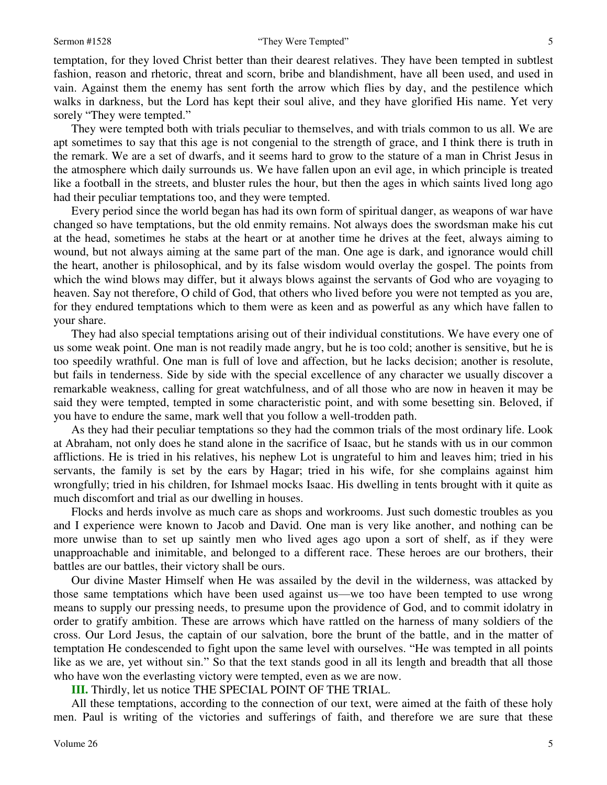#### Sermon #1528 **Sermon #1528** "They Were Tempted" 5

temptation, for they loved Christ better than their dearest relatives. They have been tempted in subtlest fashion, reason and rhetoric, threat and scorn, bribe and blandishment, have all been used, and used in vain. Against them the enemy has sent forth the arrow which flies by day, and the pestilence which walks in darkness, but the Lord has kept their soul alive, and they have glorified His name. Yet very sorely "They were tempted."

 They were tempted both with trials peculiar to themselves, and with trials common to us all. We are apt sometimes to say that this age is not congenial to the strength of grace, and I think there is truth in the remark. We are a set of dwarfs, and it seems hard to grow to the stature of a man in Christ Jesus in the atmosphere which daily surrounds us. We have fallen upon an evil age, in which principle is treated like a football in the streets, and bluster rules the hour, but then the ages in which saints lived long ago had their peculiar temptations too, and they were tempted.

 Every period since the world began has had its own form of spiritual danger, as weapons of war have changed so have temptations, but the old enmity remains. Not always does the swordsman make his cut at the head, sometimes he stabs at the heart or at another time he drives at the feet, always aiming to wound, but not always aiming at the same part of the man. One age is dark, and ignorance would chill the heart, another is philosophical, and by its false wisdom would overlay the gospel. The points from which the wind blows may differ, but it always blows against the servants of God who are voyaging to heaven. Say not therefore, O child of God, that others who lived before you were not tempted as you are, for they endured temptations which to them were as keen and as powerful as any which have fallen to your share.

 They had also special temptations arising out of their individual constitutions. We have every one of us some weak point. One man is not readily made angry, but he is too cold; another is sensitive, but he is too speedily wrathful. One man is full of love and affection, but he lacks decision; another is resolute, but fails in tenderness. Side by side with the special excellence of any character we usually discover a remarkable weakness, calling for great watchfulness, and of all those who are now in heaven it may be said they were tempted, tempted in some characteristic point, and with some besetting sin. Beloved, if you have to endure the same, mark well that you follow a well-trodden path.

 As they had their peculiar temptations so they had the common trials of the most ordinary life. Look at Abraham, not only does he stand alone in the sacrifice of Isaac, but he stands with us in our common afflictions. He is tried in his relatives, his nephew Lot is ungrateful to him and leaves him; tried in his servants, the family is set by the ears by Hagar; tried in his wife, for she complains against him wrongfully; tried in his children, for Ishmael mocks Isaac. His dwelling in tents brought with it quite as much discomfort and trial as our dwelling in houses.

 Flocks and herds involve as much care as shops and workrooms. Just such domestic troubles as you and I experience were known to Jacob and David. One man is very like another, and nothing can be more unwise than to set up saintly men who lived ages ago upon a sort of shelf, as if they were unapproachable and inimitable, and belonged to a different race. These heroes are our brothers, their battles are our battles, their victory shall be ours.

 Our divine Master Himself when He was assailed by the devil in the wilderness, was attacked by those same temptations which have been used against us—we too have been tempted to use wrong means to supply our pressing needs, to presume upon the providence of God, and to commit idolatry in order to gratify ambition. These are arrows which have rattled on the harness of many soldiers of the cross. Our Lord Jesus, the captain of our salvation, bore the brunt of the battle, and in the matter of temptation He condescended to fight upon the same level with ourselves. "He was tempted in all points like as we are, yet without sin." So that the text stands good in all its length and breadth that all those who have won the everlasting victory were tempted, even as we are now.

**III.** Thirdly, let us notice THE SPECIAL POINT OF THE TRIAL.

 All these temptations, according to the connection of our text, were aimed at the faith of these holy men. Paul is writing of the victories and sufferings of faith, and therefore we are sure that these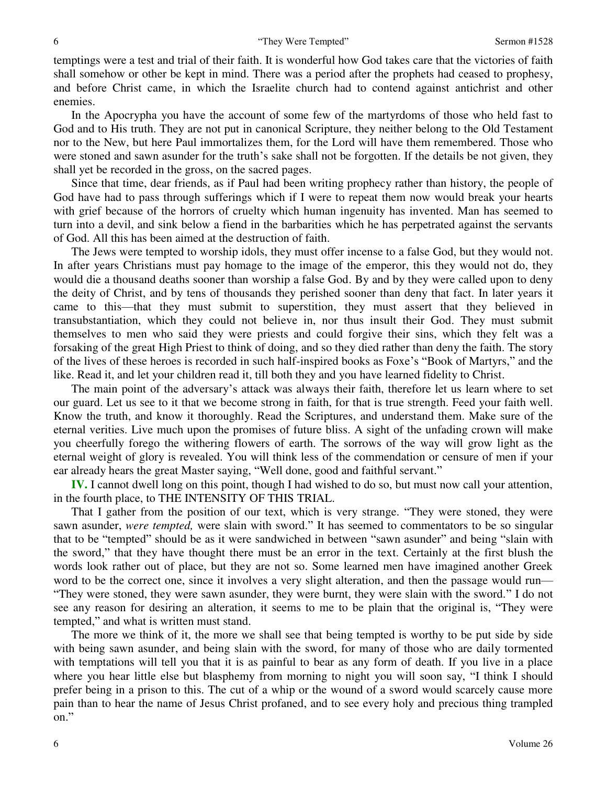temptings were a test and trial of their faith. It is wonderful how God takes care that the victories of faith shall somehow or other be kept in mind. There was a period after the prophets had ceased to prophesy, and before Christ came, in which the Israelite church had to contend against antichrist and other enemies.

 In the Apocrypha you have the account of some few of the martyrdoms of those who held fast to God and to His truth. They are not put in canonical Scripture, they neither belong to the Old Testament nor to the New, but here Paul immortalizes them, for the Lord will have them remembered. Those who were stoned and sawn asunder for the truth's sake shall not be forgotten. If the details be not given, they shall yet be recorded in the gross, on the sacred pages.

 Since that time, dear friends, as if Paul had been writing prophecy rather than history, the people of God have had to pass through sufferings which if I were to repeat them now would break your hearts with grief because of the horrors of cruelty which human ingenuity has invented. Man has seemed to turn into a devil, and sink below a fiend in the barbarities which he has perpetrated against the servants of God. All this has been aimed at the destruction of faith.

 The Jews were tempted to worship idols, they must offer incense to a false God, but they would not. In after years Christians must pay homage to the image of the emperor, this they would not do, they would die a thousand deaths sooner than worship a false God. By and by they were called upon to deny the deity of Christ, and by tens of thousands they perished sooner than deny that fact. In later years it came to this—that they must submit to superstition, they must assert that they believed in transubstantiation, which they could not believe in, nor thus insult their God. They must submit themselves to men who said they were priests and could forgive their sins, which they felt was a forsaking of the great High Priest to think of doing, and so they died rather than deny the faith. The story of the lives of these heroes is recorded in such half-inspired books as Foxe's "Book of Martyrs," and the like. Read it, and let your children read it, till both they and you have learned fidelity to Christ.

 The main point of the adversary's attack was always their faith, therefore let us learn where to set our guard. Let us see to it that we become strong in faith, for that is true strength. Feed your faith well. Know the truth, and know it thoroughly. Read the Scriptures, and understand them. Make sure of the eternal verities. Live much upon the promises of future bliss. A sight of the unfading crown will make you cheerfully forego the withering flowers of earth. The sorrows of the way will grow light as the eternal weight of glory is revealed. You will think less of the commendation or censure of men if your ear already hears the great Master saying, "Well done, good and faithful servant."

**IV.** I cannot dwell long on this point, though I had wished to do so, but must now call your attention, in the fourth place, to THE INTENSITY OF THIS TRIAL.

 That I gather from the position of our text, which is very strange. "They were stoned, they were sawn asunder, *were tempted,* were slain with sword." It has seemed to commentators to be so singular that to be "tempted" should be as it were sandwiched in between "sawn asunder" and being "slain with the sword," that they have thought there must be an error in the text. Certainly at the first blush the words look rather out of place, but they are not so. Some learned men have imagined another Greek word to be the correct one, since it involves a very slight alteration, and then the passage would run— "They were stoned, they were sawn asunder, they were burnt, they were slain with the sword." I do not see any reason for desiring an alteration, it seems to me to be plain that the original is, "They were tempted," and what is written must stand.

 The more we think of it, the more we shall see that being tempted is worthy to be put side by side with being sawn asunder, and being slain with the sword, for many of those who are daily tormented with temptations will tell you that it is as painful to bear as any form of death. If you live in a place where you hear little else but blasphemy from morning to night you will soon say, "I think I should prefer being in a prison to this. The cut of a whip or the wound of a sword would scarcely cause more pain than to hear the name of Jesus Christ profaned, and to see every holy and precious thing trampled on."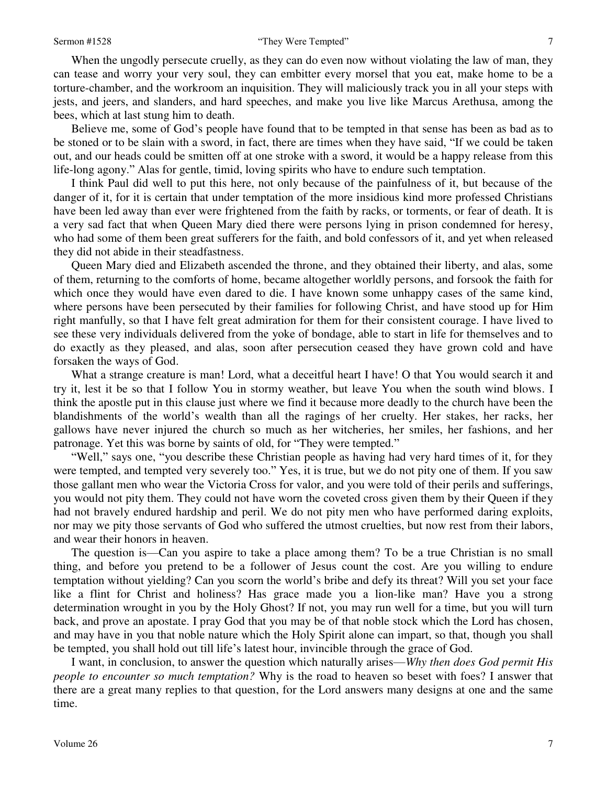When the ungodly persecute cruelly, as they can do even now without violating the law of man, they can tease and worry your very soul, they can embitter every morsel that you eat, make home to be a torture-chamber, and the workroom an inquisition. They will maliciously track you in all your steps with jests, and jeers, and slanders, and hard speeches, and make you live like Marcus Arethusa, among the bees, which at last stung him to death.

 Believe me, some of God's people have found that to be tempted in that sense has been as bad as to be stoned or to be slain with a sword, in fact, there are times when they have said, "If we could be taken out, and our heads could be smitten off at one stroke with a sword, it would be a happy release from this life-long agony." Alas for gentle, timid, loving spirits who have to endure such temptation.

 I think Paul did well to put this here, not only because of the painfulness of it, but because of the danger of it, for it is certain that under temptation of the more insidious kind more professed Christians have been led away than ever were frightened from the faith by racks, or torments, or fear of death. It is a very sad fact that when Queen Mary died there were persons lying in prison condemned for heresy, who had some of them been great sufferers for the faith, and bold confessors of it, and yet when released they did not abide in their steadfastness.

 Queen Mary died and Elizabeth ascended the throne, and they obtained their liberty, and alas, some of them, returning to the comforts of home, became altogether worldly persons, and forsook the faith for which once they would have even dared to die. I have known some unhappy cases of the same kind, where persons have been persecuted by their families for following Christ, and have stood up for Him right manfully, so that I have felt great admiration for them for their consistent courage. I have lived to see these very individuals delivered from the yoke of bondage, able to start in life for themselves and to do exactly as they pleased, and alas, soon after persecution ceased they have grown cold and have forsaken the ways of God.

What a strange creature is man! Lord, what a deceitful heart I have! O that You would search it and try it, lest it be so that I follow You in stormy weather, but leave You when the south wind blows. I think the apostle put in this clause just where we find it because more deadly to the church have been the blandishments of the world's wealth than all the ragings of her cruelty. Her stakes, her racks, her gallows have never injured the church so much as her witcheries, her smiles, her fashions, and her patronage. Yet this was borne by saints of old, for "They were tempted."

"Well," says one, "you describe these Christian people as having had very hard times of it, for they were tempted, and tempted very severely too." Yes, it is true, but we do not pity one of them. If you saw those gallant men who wear the Victoria Cross for valor, and you were told of their perils and sufferings, you would not pity them. They could not have worn the coveted cross given them by their Queen if they had not bravely endured hardship and peril. We do not pity men who have performed daring exploits, nor may we pity those servants of God who suffered the utmost cruelties, but now rest from their labors, and wear their honors in heaven.

 The question is—Can you aspire to take a place among them? To be a true Christian is no small thing, and before you pretend to be a follower of Jesus count the cost. Are you willing to endure temptation without yielding? Can you scorn the world's bribe and defy its threat? Will you set your face like a flint for Christ and holiness? Has grace made you a lion-like man? Have you a strong determination wrought in you by the Holy Ghost? If not, you may run well for a time, but you will turn back, and prove an apostate. I pray God that you may be of that noble stock which the Lord has chosen, and may have in you that noble nature which the Holy Spirit alone can impart, so that, though you shall be tempted, you shall hold out till life's latest hour, invincible through the grace of God.

 I want, in conclusion, to answer the question which naturally arises—*Why then does God permit His people to encounter so much temptation?* Why is the road to heaven so beset with foes? I answer that there are a great many replies to that question, for the Lord answers many designs at one and the same time.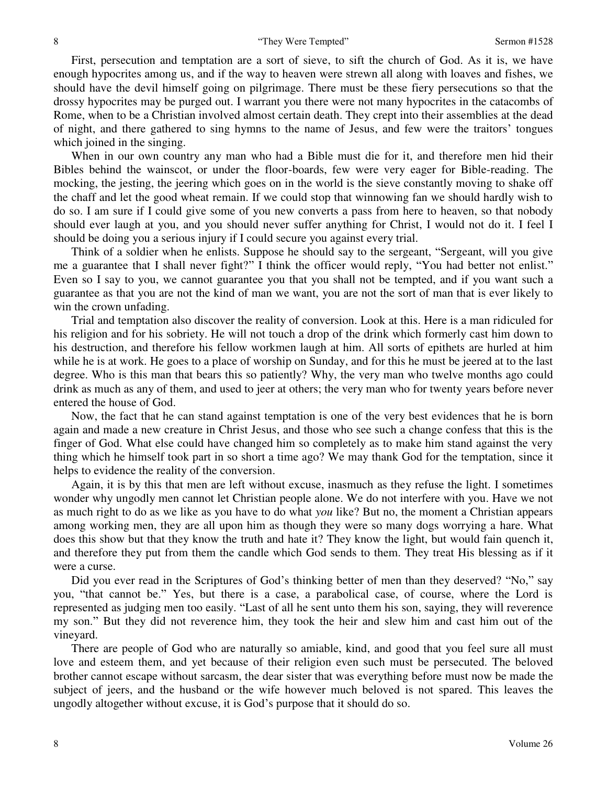First, persecution and temptation are a sort of sieve, to sift the church of God. As it is, we have enough hypocrites among us, and if the way to heaven were strewn all along with loaves and fishes, we should have the devil himself going on pilgrimage. There must be these fiery persecutions so that the drossy hypocrites may be purged out. I warrant you there were not many hypocrites in the catacombs of Rome, when to be a Christian involved almost certain death. They crept into their assemblies at the dead of night, and there gathered to sing hymns to the name of Jesus, and few were the traitors' tongues which joined in the singing.

 When in our own country any man who had a Bible must die for it, and therefore men hid their Bibles behind the wainscot, or under the floor-boards, few were very eager for Bible-reading. The mocking, the jesting, the jeering which goes on in the world is the sieve constantly moving to shake off the chaff and let the good wheat remain. If we could stop that winnowing fan we should hardly wish to do so. I am sure if I could give some of you new converts a pass from here to heaven, so that nobody should ever laugh at you, and you should never suffer anything for Christ, I would not do it. I feel I should be doing you a serious injury if I could secure you against every trial.

 Think of a soldier when he enlists. Suppose he should say to the sergeant, "Sergeant, will you give me a guarantee that I shall never fight?" I think the officer would reply, "You had better not enlist." Even so I say to you, we cannot guarantee you that you shall not be tempted, and if you want such a guarantee as that you are not the kind of man we want, you are not the sort of man that is ever likely to win the crown unfading.

 Trial and temptation also discover the reality of conversion. Look at this. Here is a man ridiculed for his religion and for his sobriety. He will not touch a drop of the drink which formerly cast him down to his destruction, and therefore his fellow workmen laugh at him. All sorts of epithets are hurled at him while he is at work. He goes to a place of worship on Sunday, and for this he must be jeered at to the last degree. Who is this man that bears this so patiently? Why, the very man who twelve months ago could drink as much as any of them, and used to jeer at others; the very man who for twenty years before never entered the house of God.

 Now, the fact that he can stand against temptation is one of the very best evidences that he is born again and made a new creature in Christ Jesus, and those who see such a change confess that this is the finger of God. What else could have changed him so completely as to make him stand against the very thing which he himself took part in so short a time ago? We may thank God for the temptation, since it helps to evidence the reality of the conversion.

 Again, it is by this that men are left without excuse, inasmuch as they refuse the light. I sometimes wonder why ungodly men cannot let Christian people alone. We do not interfere with you. Have we not as much right to do as we like as you have to do what *you* like? But no, the moment a Christian appears among working men, they are all upon him as though they were so many dogs worrying a hare. What does this show but that they know the truth and hate it? They know the light, but would fain quench it, and therefore they put from them the candle which God sends to them. They treat His blessing as if it were a curse.

Did you ever read in the Scriptures of God's thinking better of men than they deserved? "No," say you, "that cannot be." Yes, but there is a case, a parabolical case, of course, where the Lord is represented as judging men too easily. "Last of all he sent unto them his son, saying, they will reverence my son." But they did not reverence him, they took the heir and slew him and cast him out of the vineyard.

 There are people of God who are naturally so amiable, kind, and good that you feel sure all must love and esteem them, and yet because of their religion even such must be persecuted. The beloved brother cannot escape without sarcasm, the dear sister that was everything before must now be made the subject of jeers, and the husband or the wife however much beloved is not spared. This leaves the ungodly altogether without excuse, it is God's purpose that it should do so.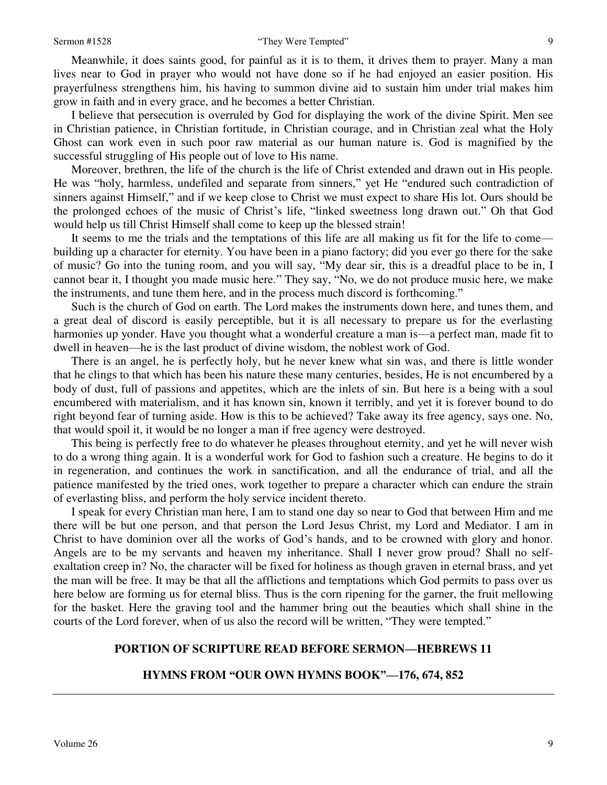Meanwhile, it does saints good, for painful as it is to them, it drives them to prayer. Many a man lives near to God in prayer who would not have done so if he had enjoyed an easier position. His prayerfulness strengthens him, his having to summon divine aid to sustain him under trial makes him grow in faith and in every grace, and he becomes a better Christian.

 I believe that persecution is overruled by God for displaying the work of the divine Spirit. Men see in Christian patience, in Christian fortitude, in Christian courage, and in Christian zeal what the Holy Ghost can work even in such poor raw material as our human nature is. God is magnified by the successful struggling of His people out of love to His name.

 Moreover, brethren, the life of the church is the life of Christ extended and drawn out in His people. He was "holy, harmless, undefiled and separate from sinners," yet He "endured such contradiction of sinners against Himself," and if we keep close to Christ we must expect to share His lot. Ours should be the prolonged echoes of the music of Christ's life, "linked sweetness long drawn out." Oh that God would help us till Christ Himself shall come to keep up the blessed strain!

 It seems to me the trials and the temptations of this life are all making us fit for the life to come building up a character for eternity. You have been in a piano factory; did you ever go there for the sake of music? Go into the tuning room, and you will say, "My dear sir, this is a dreadful place to be in, I cannot bear it, I thought you made music here." They say, "No, we do not produce music here, we make the instruments, and tune them here, and in the process much discord is forthcoming."

 Such is the church of God on earth. The Lord makes the instruments down here, and tunes them, and a great deal of discord is easily perceptible, but it is all necessary to prepare us for the everlasting harmonies up yonder. Have you thought what a wonderful creature a man is—a perfect man, made fit to dwell in heaven—he is the last product of divine wisdom, the noblest work of God.

 There is an angel, he is perfectly holy, but he never knew what sin was, and there is little wonder that he clings to that which has been his nature these many centuries, besides, He is not encumbered by a body of dust, full of passions and appetites, which are the inlets of sin. But here is a being with a soul encumbered with materialism, and it has known sin, known it terribly, and yet it is forever bound to do right beyond fear of turning aside. How is this to be achieved? Take away its free agency, says one. No, that would spoil it, it would be no longer a man if free agency were destroyed.

 This being is perfectly free to do whatever he pleases throughout eternity, and yet he will never wish to do a wrong thing again. It is a wonderful work for God to fashion such a creature. He begins to do it in regeneration, and continues the work in sanctification, and all the endurance of trial, and all the patience manifested by the tried ones, work together to prepare a character which can endure the strain of everlasting bliss, and perform the holy service incident thereto.

 I speak for every Christian man here, I am to stand one day so near to God that between Him and me there will be but one person, and that person the Lord Jesus Christ, my Lord and Mediator. I am in Christ to have dominion over all the works of God's hands, and to be crowned with glory and honor. Angels are to be my servants and heaven my inheritance. Shall I never grow proud? Shall no selfexaltation creep in? No, the character will be fixed for holiness as though graven in eternal brass, and yet the man will be free. It may be that all the afflictions and temptations which God permits to pass over us here below are forming us for eternal bliss. Thus is the corn ripening for the garner, the fruit mellowing for the basket. Here the graving tool and the hammer bring out the beauties which shall shine in the courts of the Lord forever, when of us also the record will be written, "They were tempted."

### **PORTION OF SCRIPTURE READ BEFORE SERMON—HEBREWS 11**

# **HYMNS FROM "OUR OWN HYMNS BOOK"—176, 674, 852**